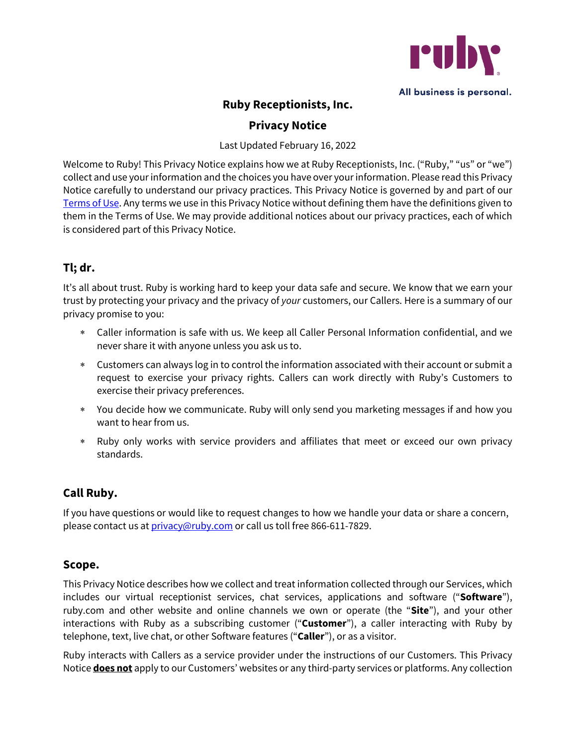

# **Ruby Receptionists, Inc.**

### **Privacy Notice**

Last Updated February 16, 2022

Welcome to Ruby! This Privacy Notice explains how we at Ruby Receptionists, Inc. ("Ruby," "us" or "we") collect and use your information and the choices you have over your information. Please read this Privacy Notice carefully to understand our privacy practices. This Privacy Notice is governed by and part of our Terms of Use. Any terms we use in this Privacy Notice without defining them have the definitions given to them in the Terms of Use. We may provide additional notices about our privacy practices, each of which is considered part of this Privacy Notice.

# **Tl; dr.**

It's all about trust. Ruby is working hard to keep your data safe and secure. We know that we earn your trust by protecting your privacy and the privacy of *your* customers, our Callers. Here is a summary of our privacy promise to you:

- \* Caller information is safe with us. We keep all Caller Personal Information confidential, and we never share it with anyone unless you ask us to.
- \* Customers can always log in to control the information associated with their account or submit a request to exercise your privacy rights. Callers can work directly with Ruby's Customers to exercise their privacy preferences.
- \* You decide how we communicate. Ruby will only send you marketing messages if and how you want to hear from us.
- \* Ruby only works with service providers and affiliates that meet or exceed our own privacy standards.

# **Call Ruby.**

If you have questions or would like to request changes to how we handle your data or share a concern, please contact us at *privacy*@ruby.com or call us toll free 866-611-7829.

### **Scope.**

This Privacy Notice describes how we collect and treat information collected through our Services, which includes our virtual receptionist services, chat services, applications and software ("**Software**"), ruby.com and other website and online channels we own or operate (the "**Site**"), and your other interactions with Ruby as a subscribing customer ("**Customer**"), a caller interacting with Ruby by telephone, text, live chat, or other Software features ("**Caller**"), or as a visitor.

Ruby interacts with Callers as a service provider under the instructions of our Customers. This Privacy Notice **does not** apply to our Customers' websites or any third-party services or platforms. Any collection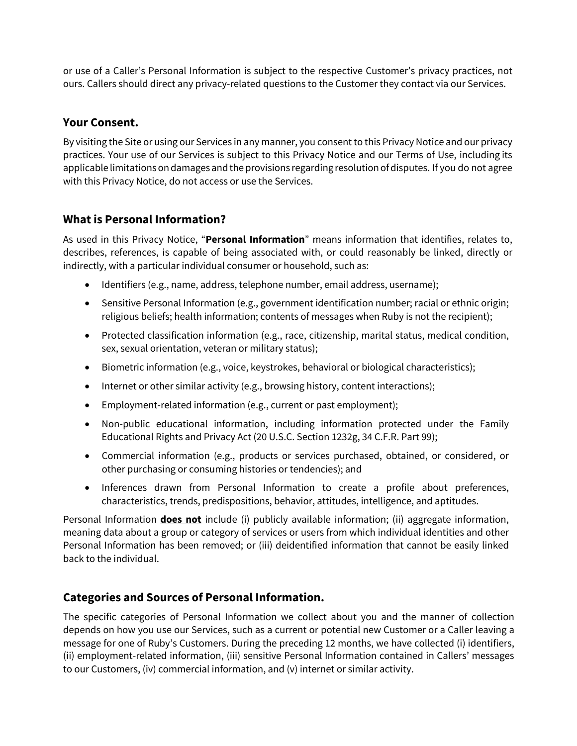or use of a Caller's Personal Information is subject to the respective Customer's privacy practices, not ours. Callers should direct any privacy-related questions to the Customer they contact via our Services.

#### **Your Consent.**

By visiting the Site or using our Services in any manner, you consent to this Privacy Notice and our privacy practices. Your use of our Services is subject to this Privacy Notice and our Terms of Use, including its applicable limitations on damages and the provisions regarding resolution of disputes. If you do not agree with this Privacy Notice, do not access or use the Services.

## **What is Personal Information?**

As used in this Privacy Notice, "**Personal Information**" means information that identifies, relates to, describes, references, is capable of being associated with, or could reasonably be linked, directly or indirectly, with a particular individual consumer or household, such as:

- Identifiers (e.g., name, address, telephone number, email address, username);
- Sensitive Personal Information (e.g., government identification number; racial or ethnic origin; religious beliefs; health information; contents of messages when Ruby is not the recipient);
- Protected classification information (e.g., race, citizenship, marital status, medical condition, sex, sexual orientation, veteran or military status);
- Biometric information (e.g., voice, keystrokes, behavioral or biological characteristics);
- Internet or other similar activity (e.g., browsing history, content interactions);
- Employment-related information (e.g., current or past employment);
- Non-public educational information, including information protected under the Family Educational Rights and Privacy Act (20 U.S.C. Section 1232g, 34 C.F.R. Part 99);
- Commercial information (e.g., products or services purchased, obtained, or considered, or other purchasing or consuming histories or tendencies); and
- Inferences drawn from Personal Information to create a profile about preferences, characteristics, trends, predispositions, behavior, attitudes, intelligence, and aptitudes.

Personal Information **does not** include (i) publicly available information; (ii) aggregate information, meaning data about a group or category of services or users from which individual identities and other Personal Information has been removed; or (iii) deidentified information that cannot be easily linked back to the individual.

### **Categories and Sources of Personal Information.**

The specific categories of Personal Information we collect about you and the manner of collection depends on how you use our Services, such as a current or potential new Customer or a Caller leaving a message for one of Ruby's Customers. During the preceding 12 months, we have collected (i) identifiers, (ii) employment-related information, (iii) sensitive Personal Information contained in Callers' messages to our Customers, (iv) commercial information, and (v) internet or similar activity.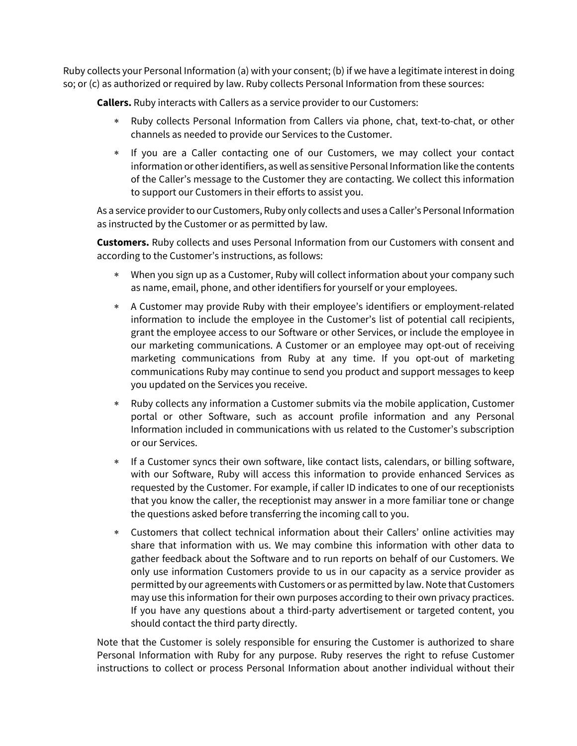Ruby collects your Personal Information (a) with your consent; (b) if we have a legitimate interest in doing so; or (c) as authorized or required by law. Ruby collects Personal Information from these sources:

**Callers.** Ruby interacts with Callers as a service provider to our Customers:

- Ruby collects Personal Information from Callers via phone, chat, text-to-chat, or other channels as needed to provide our Services to the Customer.
- \* If you are a Caller contacting one of our Customers, we may collect your contact information or other identifiers, as well as sensitive Personal Information like the contents of the Caller's message to the Customer they are contacting. We collect this information to support our Customers in their efforts to assist you.

As a service provider to our Customers, Ruby only collects and uses a Caller's Personal Information as instructed by the Customer or as permitted by law.

**Customers.** Ruby collects and uses Personal Information from our Customers with consent and according to the Customer's instructions, as follows:

- \* When you sign up as a Customer, Ruby will collect information about your company such as name, email, phone, and other identifiers for yourself or your employees.
- A Customer may provide Ruby with their employee's identifiers or employment-related information to include the employee in the Customer's list of potential call recipients, grant the employee access to our Software or other Services, or include the employee in our marketing communications. A Customer or an employee may opt-out of receiving marketing communications from Ruby at any time. If you opt-out of marketing communications Ruby may continue to send you product and support messages to keep you updated on the Services you receive.
- \* Ruby collects any information a Customer submits via the mobile application, Customer portal or other Software, such as account profile information and any Personal Information included in communications with us related to the Customer's subscription or our Services.
- \* If a Customer syncs their own software, like contact lists, calendars, or billing software, with our Software, Ruby will access this information to provide enhanced Services as requested by the Customer. For example, if caller ID indicates to one of our receptionists that you know the caller, the receptionist may answer in a more familiar tone or change the questions asked before transferring the incoming call to you.
- \* Customers that collect technical information about their Callers' online activities may share that information with us. We may combine this information with other data to gather feedback about the Software and to run reports on behalf of our Customers. We only use information Customers provide to us in our capacity as a service provider as permitted by our agreements with Customers or as permitted by law. Note that Customers may use this information for their own purposes according to their own privacy practices. If you have any questions about a third-party advertisement or targeted content, you should contact the third party directly.

Note that the Customer is solely responsible for ensuring the Customer is authorized to share Personal Information with Ruby for any purpose. Ruby reserves the right to refuse Customer instructions to collect or process Personal Information about another individual without their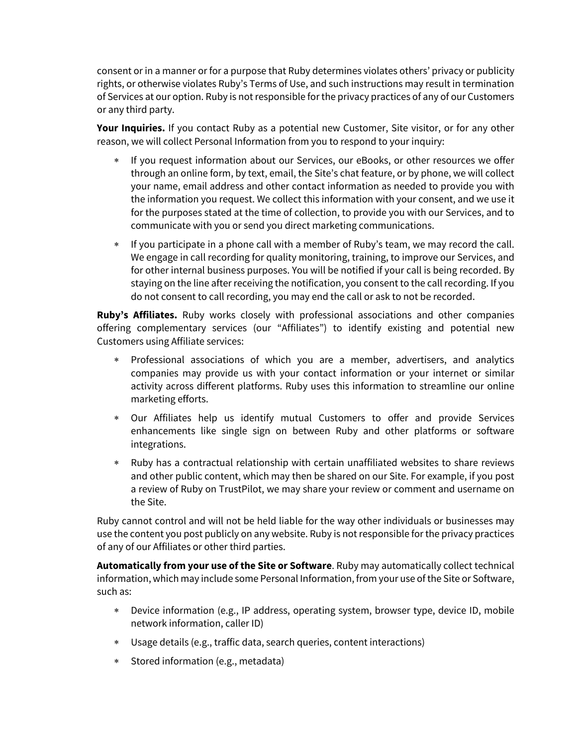consent or in a manner or for a purpose that Ruby determines violates others' privacy or publicity rights, or otherwise violates Ruby's Terms of Use, and such instructions may result in termination of Services at our option. Ruby is not responsible for the privacy practices of any of our Customers or any third party.

**Your Inquiries.** If you contact Ruby as a potential new Customer, Site visitor, or for any other reason, we will collect Personal Information from you to respond to your inquiry:

- If you request information about our Services, our eBooks, or other resources we offer through an online form, by text, email, the Site's chat feature, or by phone, we will collect your name, email address and other contact information as needed to provide you with the information you request. We collect this information with your consent, and we use it for the purposes stated at the time of collection, to provide you with our Services, and to communicate with you or send you direct marketing communications.
- \* If you participate in a phone call with a member of Ruby's team, we may record the call. We engage in call recording for quality monitoring, training, to improve our Services, and for other internal business purposes. You will be notified if your call is being recorded. By staying on the line after receiving the notification, you consent to the call recording. If you do not consent to call recording, you may end the call or ask to not be recorded.

**Ruby's Affiliates.** Ruby works closely with professional associations and other companies offering complementary services (our "Affiliates") to identify existing and potential new Customers using Affiliate services:

- \* Professional associations of which you are a member, advertisers, and analytics companies may provide us with your contact information or your internet or similar activity across different platforms. Ruby uses this information to streamline our online marketing efforts.
- \* Our Affiliates help us identify mutual Customers to offer and provide Services enhancements like single sign on between Ruby and other platforms or software integrations.
- \* Ruby has a contractual relationship with certain unaffiliated websites to share reviews and other public content, which may then be shared on our Site. For example, if you post a review of Ruby on TrustPilot, we may share your review or comment and username on the Site.

Ruby cannot control and will not be held liable for the way other individuals or businesses may use the content you post publicly on any website. Ruby is not responsible for the privacy practices of any of our Affiliates or other third parties.

**Automatically from your use of the Site or Software**. Ruby may automatically collect technical information, which may include some Personal Information, from your use ofthe Site or Software, such as:

- \* Device information (e.g., IP address, operating system, browser type, device ID, mobile network information, caller ID)
- \* Usage details (e.g., traffic data, search queries, content interactions)
- \* Stored information (e.g., metadata)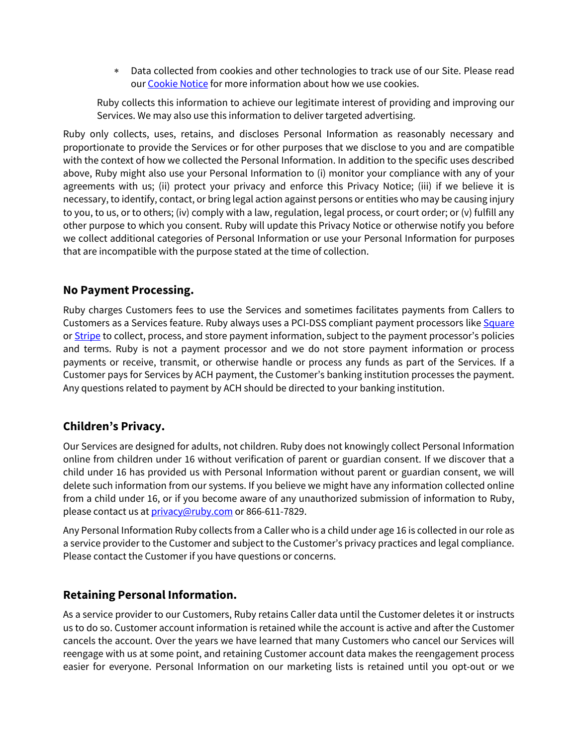\* Data collected from cookies and other technologies to track use of our Site. Please read our Cookie Notice for more information about how we use cookies.

Ruby collects this information to achieve our legitimate interest of providing and improving our Services. We may also use this information to deliver targeted advertising.

Ruby only collects, uses, retains, and discloses Personal Information as reasonably necessary and proportionate to provide the Services or for other purposes that we disclose to you and are compatible with the context of how we collected the Personal Information. In addition to the specific uses described above, Ruby might also use your Personal Information to (i) monitor your compliance with any of your agreements with us; (ii) protect your privacy and enforce this Privacy Notice; (iii) if we believe it is necessary, to identify, contact, or bring legal action against persons or entities who may be causing injury to you, to us, or to others; (iv) comply with a law, regulation, legal process, or court order; or (v) fulfill any other purpose to which you consent. Ruby will update this Privacy Notice or otherwise notify you before we collect additional categories of Personal Information or use your Personal Information for purposes that are incompatible with the purpose stated at the time of collection.

#### **No Payment Processing.**

Ruby charges Customers fees to use the Services and sometimes facilitates payments from Callers to Customers as a Services feature. Ruby always uses a PCI-DSS compliant payment processors like Square or Stripe to collect, process, and store payment information, subject to the payment processor's policies and terms. Ruby is not a payment processor and we do not store payment information or process payments or receive, transmit, or otherwise handle or process any funds as part of the Services. If a Customer pays for Services by ACH payment, the Customer's banking institution processes the payment. Any questions related to payment by ACH should be directed to your banking institution.

### **Children's Privacy.**

Our Services are designed for adults, not children. Ruby does not knowingly collect Personal Information online from children under 16 without verification of parent or guardian consent. If we discover that a child under 16 has provided us with Personal Information without parent or guardian consent, we will delete such information from our systems. If you believe we might have any information collected online from a child under 16, or if you become aware of any unauthorized submission of information to Ruby, please contact us at *privacy*@ruby.com or 866-611-7829.

Any Personal Information Ruby collects from a Caller who is a child under age 16 is collected in our role as a service provider to the Customer and subject to the Customer's privacy practices and legal compliance. Please contact the Customer if you have questions or concerns.

### **Retaining Personal Information.**

As a service provider to our Customers, Ruby retains Caller data until the Customer deletes it or instructs us to do so. Customer account information is retained while the account is active and after the Customer cancels the account. Over the years we have learned that many Customers who cancel our Services will reengage with us at some point, and retaining Customer account data makes the reengagement process easier for everyone. Personal Information on our marketing lists is retained until you opt-out or we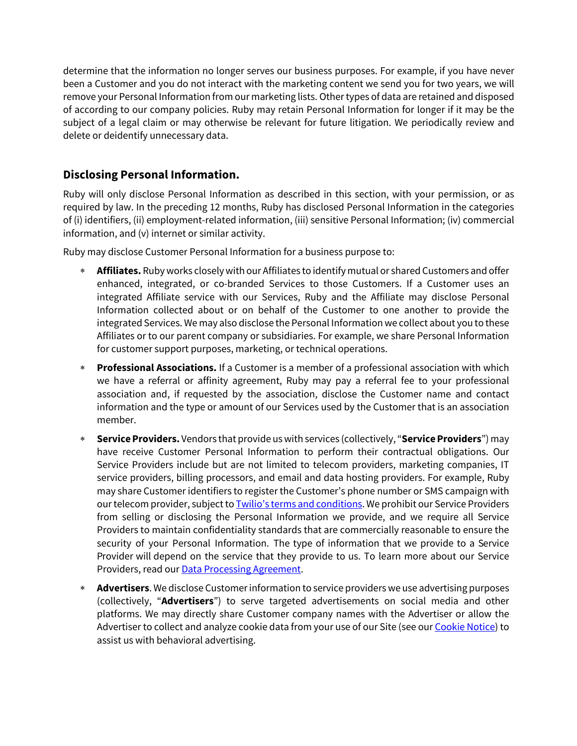determine that the information no longer serves our business purposes. For example, if you have never been a Customer and you do not interact with the marketing content we send you for two years, we will remove your Personal Information from our marketing lists. Othertypes of data are retained and disposed of according to our company policies. Ruby may retain Personal Information for longer if it may be the subject of a legal claim or may otherwise be relevant for future litigation. We periodically review and delete or deidentify unnecessary data.

## **Disclosing Personal Information.**

Ruby will only disclose Personal Information as described in this section, with your permission, or as required by law. In the preceding 12 months, Ruby has disclosed Personal Information in the categories of (i) identifiers, (ii) employment-related information, (iii) sensitive Personal Information; (iv) commercial information, and (v) internet or similar activity.

Ruby may disclose Customer Personal Information for a business purpose to:

- \* **Affiliates.** Ruby works closely with our Affiliates to identify mutual or shared Customers and offer enhanced, integrated, or co-branded Services to those Customers. If a Customer uses an integrated Affiliate service with our Services, Ruby and the Affiliate may disclose Personal Information collected about or on behalf of the Customer to one another to provide the integrated Services. We may also disclose the Personal Information we collect about you to these Affiliates or to our parent company or subsidiaries. For example, we share Personal Information for customer support purposes, marketing, or technical operations.
- \* **Professional Associations.** If a Customer is a member of a professional association with which we have a referral or affinity agreement, Ruby may pay a referral fee to your professional association and, if requested by the association, disclose the Customer name and contact information and the type or amount of our Services used by the Customer that is an association member.
- \* **Service Providers.** Vendors that provide us with services (collectively, "**Service Providers**") may have receive Customer Personal Information to perform their contractual obligations. Our Service Providers include but are not limited to telecom providers, marketing companies, IT service providers, billing processors, and email and data hosting providers. For example, Ruby may share Customer identifiers to register the Customer's phone number or SMS campaign with our telecom provider, subject to Twilio's terms and conditions. We prohibit our Service Providers from selling or disclosing the Personal Information we provide, and we require all Service Providers to maintain confidentiality standards that are commercially reasonable to ensure the security of your Personal Information. The type of information that we provide to a Service Provider will depend on the service that they provide to us. To learn more about our Service Providers, read our **Data Processing Agreement**.
- \* **Advertisers**. We disclose Customerinformation to service providers we use advertising purposes (collectively, "**Advertisers**") to serve targeted advertisements on social media and other platforms. We may directly share Customer company names with the Advertiser or allow the Advertiser to collect and analyze cookie data from your use of our Site (see our Cookie Notice) to assist us with behavioral advertising.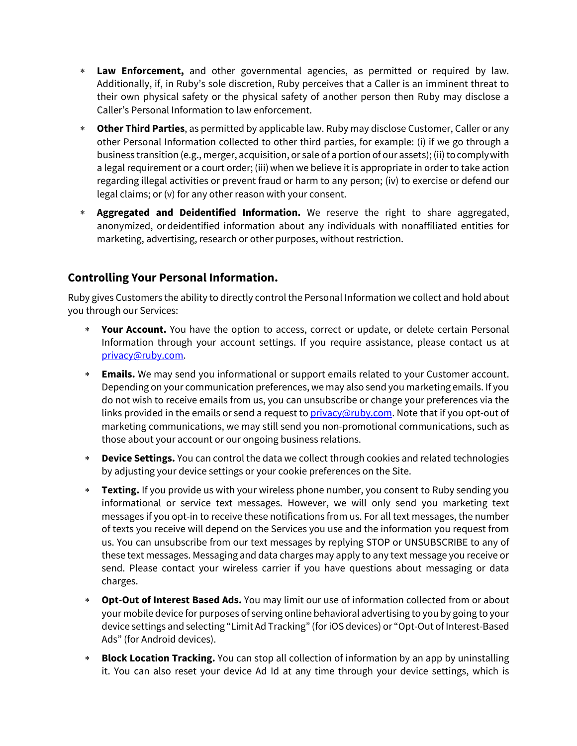- \* **Law Enforcement,** and other governmental agencies, as permitted or required by law. Additionally, if, in Ruby's sole discretion, Ruby perceives that a Caller is an imminent threat to their own physical safety or the physical safety of another person then Ruby may disclose a Caller's Personal Information to law enforcement.
- \* **Other Third Parties**, as permitted by applicable law. Ruby may disclose Customer, Caller or any other Personal Information collected to other third parties, for example: (i) if we go through a business transition (e.g., merger, acquisition, or sale of a portion of our assets); (ii) tocomplywith a legal requirement or a court order; (iii) when we believe it is appropriate in order to take action regarding illegal activities or prevent fraud or harm to any person; (iv) to exercise or defend our legal claims; or (v) for any other reason with your consent.
- \* **Aggregated and Deidentified Information.** We reserve the right to share aggregated, anonymized, ordeidentified information about any individuals with nonaffiliated entities for marketing, advertising, research or other purposes, without restriction.

## **Controlling Your Personal Information.**

Ruby gives Customers the ability to directly control the Personal Information we collect and hold about you through our Services:

- \* **Your Account.** You have the option to access, correct or update, or delete certain Personal Information through your account settings. If you require assistance, please contact us at privacy@ruby.com.
- \* **Emails.** We may send you informational or support emails related to your Customer account. Depending on your communication preferences, we may also send you marketing emails. If you do not wish to receive emails from us, you can unsubscribe or change your preferences via the links provided in the emails or send a request to privacy@ruby.com. Note that if you opt-out of marketing communications, we may still send you non-promotional communications, such as those about your account or our ongoing business relations.
- \* **Device Settings.** You can control the data we collect through cookies and related technologies by adjusting your device settings or your cookie preferences on the Site.
- \* **Texting.** If you provide us with your wireless phone number, you consent to Ruby sending you informational or service text messages. However, we will only send you marketing text messages if you opt-in to receive these notifications from us. For all text messages, the number of texts you receive will depend on the Services you use and the information you request from us. You can unsubscribe from our text messages by replying STOP or UNSUBSCRIBE to any of these text messages. Messaging and data charges may apply to any text message you receive or send. Please contact your wireless carrier if you have questions about messaging or data charges.
- \* **Opt-Out of Interest Based Ads.** You may limit our use of information collected from or about your mobile device for purposes of serving online behavioral advertising to you by going to your device settings and selecting "Limit Ad Tracking" (for iOS devices) or "Opt-Out of Interest-Based Ads" (for Android devices).
- \* **Block Location Tracking.** You can stop all collection of information by an app by uninstalling it. You can also reset your device Ad Id at any time through your device settings, which is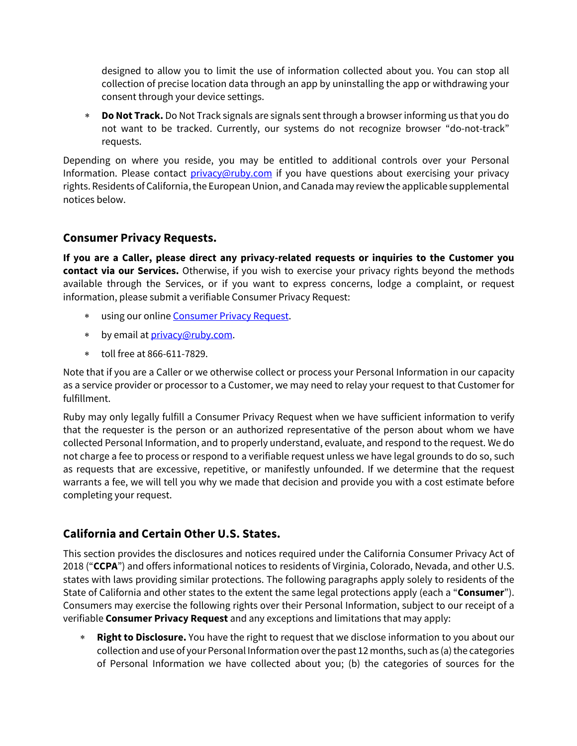designed to allow you to limit the use of information collected about you. You can stop all collection of precise location data through an app by uninstalling the app or withdrawing your consent through your device settings.

\* **Do Not Track.** Do Not Track signals are signals sent through a browser informing us that you do not want to be tracked. Currently, our systems do not recognize browser "do-not-track" requests.

Depending on where you reside, you may be entitled to additional controls over your Personal Information. Please contact privacy@ruby.com if you have questions about exercising your privacy rights. Residents of California, the European Union, and Canada may review the applicable supplemental notices below.

#### **Consumer Privacy Requests.**

**If you are a Caller, please direct any privacy-related requests or inquiries to the Customer you contact via our Services.** Otherwise, if you wish to exercise your privacy rights beyond the methods available through the Services, or if you want to express concerns, lodge a complaint, or request information, please submit a verifiable Consumer Privacy Request:

- \* using our online Consumer Privacy Request.
- \* by email at privacy@ruby.com.
- \* toll free at 866-611-7829.

Note that if you are a Caller or we otherwise collect or process your Personal Information in our capacity as a service provider or processor to a Customer, we may need to relay your request to that Customer for fulfillment.

Ruby may only legally fulfill a Consumer Privacy Request when we have sufficient information to verify that the requester is the person or an authorized representative of the person about whom we have collected Personal Information, and to properly understand, evaluate, and respond to the request. We do not charge a fee to process or respond to a verifiable request unless we have legal grounds to do so, such as requests that are excessive, repetitive, or manifestly unfounded. If we determine that the request warrants a fee, we will tell you why we made that decision and provide you with a cost estimate before completing your request.

### **California and Certain Other U.S. States.**

This section provides the disclosures and notices required under the California Consumer Privacy Act of 2018 ("**CCPA**") and offers informational notices to residents of Virginia, Colorado, Nevada, and other U.S. states with laws providing similar protections. The following paragraphs apply solely to residents of the State of California and other states to the extent the same legal protections apply (each a "**Consumer**"). Consumers may exercise the following rights over their Personal Information, subject to our receipt of a verifiable **Consumer Privacy Request** and any exceptions and limitations that may apply:

\* **Right to Disclosure.** You have the right to request that we disclose information to you about our collection and use of your Personal Information over the past 12 months, such as (a) the categories of Personal Information we have collected about you; (b) the categories of sources for the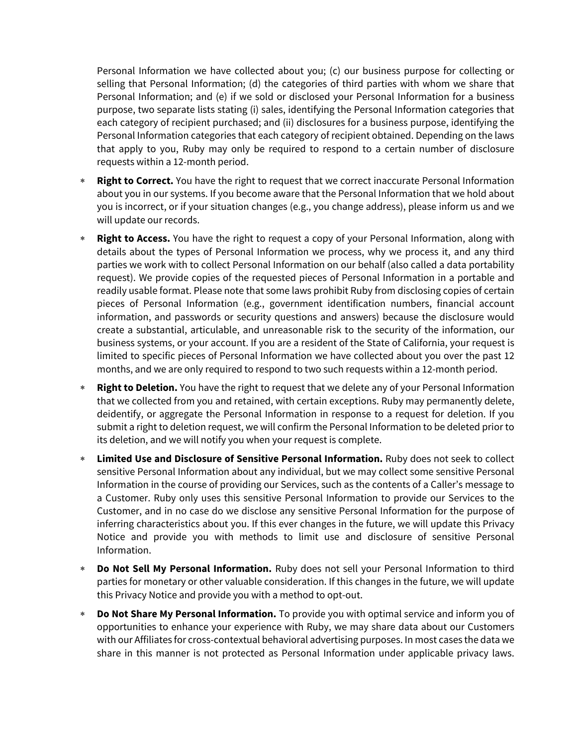Personal Information we have collected about you; (c) our business purpose for collecting or selling that Personal Information; (d) the categories of third parties with whom we share that Personal Information; and (e) if we sold or disclosed your Personal Information for a business purpose, two separate lists stating (i) sales, identifying the Personal Information categories that each category of recipient purchased; and (ii) disclosures for a business purpose, identifying the Personal Information categories that each category of recipient obtained. Depending on the laws that apply to you, Ruby may only be required to respond to a certain number of disclosure requests within a 12-month period.

- \* **Right to Correct.** You have the right to request that we correct inaccurate Personal Information about you in our systems. If you become aware that the Personal Information that we hold about you is incorrect, or if your situation changes (e.g., you change address), please inform us and we will update our records.
- \* **Right to Access.** You have the right to request a copy of your Personal Information, along with details about the types of Personal Information we process, why we process it, and any third parties we work with to collect Personal Information on our behalf (also called a data portability request). We provide copies of the requested pieces of Personal Information in a portable and readily usable format. Please note that some laws prohibit Ruby from disclosing copies of certain pieces of Personal Information (e.g., government identification numbers, financial account information, and passwords or security questions and answers) because the disclosure would create a substantial, articulable, and unreasonable risk to the security of the information, our business systems, or your account. If you are a resident of the State of California, your request is limited to specific pieces of Personal Information we have collected about you over the past 12 months, and we are only required to respond to two such requests within a 12-month period.
- \* **Right to Deletion.** You have the right to request that we delete any of your Personal Information that we collected from you and retained, with certain exceptions. Ruby may permanently delete, deidentify, or aggregate the Personal Information in response to a request for deletion. If you submit a right to deletion request, we will confirm the Personal Information to be deleted prior to its deletion, and we will notify you when your request is complete.
- \* **Limited Use and Disclosure of Sensitive Personal Information.** Ruby does not seek to collect sensitive Personal Information about any individual, but we may collect some sensitive Personal Information in the course of providing our Services, such as the contents of a Caller's message to a Customer. Ruby only uses this sensitive Personal Information to provide our Services to the Customer, and in no case do we disclose any sensitive Personal Information for the purpose of inferring characteristics about you. If this ever changes in the future, we will update this Privacy Notice and provide you with methods to limit use and disclosure of sensitive Personal Information.
- \* **Do Not Sell My Personal Information.** Ruby does not sell your Personal Information to third parties for monetary or other valuable consideration. If this changes in the future, we will update this Privacy Notice and provide you with a method to opt-out.
- **Do Not Share My Personal Information.** To provide you with optimal service and inform you of opportunities to enhance your experience with Ruby, we may share data about our Customers with our Affiliates for cross-contextual behavioral advertising purposes. In most cases the data we share in this manner is not protected as Personal Information under applicable privacy laws.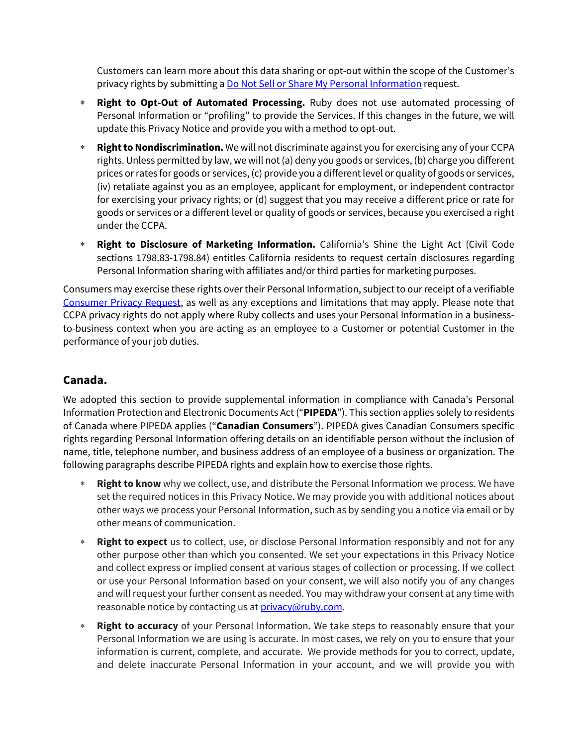Customers can learn more about this data sharing or opt-out within the scope of the Customer's privacy rights by submitting a Do Not Sell or Share My Personal Information request.

- \* **Right to Opt-Out of Automated Processing.** Ruby does not use automated processing of Personal Information or "profiling" to provide the Services. If this changes in the future, we will update this Privacy Notice and provide you with a method to opt-out.
- \* **Right to Nondiscrimination.** We will not discriminate against you for exercising any of your CCPA rights. Unless permitted by law, we will not (a) deny you goods or services, (b) charge you different prices or rates for goods or services, (c) provide you a different level or quality of goods or services, (iv) retaliate against you as an employee, applicant for employment, or independent contractor for exercising your privacy rights; or (d) suggest that you may receive a different price or rate for goods or services or a different level or quality of goods or services, because you exercised a right under the CCPA.
- \* **Right to Disclosure of Marketing Information.** California's Shine the Light Act (Civil Code sections 1798.83-1798.84) entitles California residents to request certain disclosures regarding Personal Information sharing with affiliates and/or third parties for marketing purposes.

Consumers may exercise these rights over their Personal Information, subject to our receipt of a verifiable Consumer Privacy Request, as well as any exceptions and limitations that may apply. Please note that CCPA privacy rights do not apply where Ruby collects and uses your Personal Information in a businessto-business context when you are acting as an employee to a Customer or potential Customer in the performance of your job duties.

### **Canada.**

We adopted this section to provide supplemental information in compliance with Canada's Personal Information Protection and Electronic Documents Act ("**PIPEDA**"). This section applies solely to residents of Canada where PIPEDA applies ("**Canadian Consumers**"). PIPEDA gives Canadian Consumers specific rights regarding Personal Information offering details on an identifiable person without the inclusion of name, title, telephone number, and business address of an employee of a business or organization. The following paragraphs describe PIPEDA rights and explain how to exercise those rights.

- \* **Right to know** why we collect, use, and distribute the Personal Information we process. We have set the required notices in this Privacy Notice. We may provide you with additional notices about other ways we process your Personal Information, such as by sending you a notice via email or by other means of communication.
- \* **Right to expect** us to collect, use, or disclose Personal Information responsibly and not for any other purpose other than which you consented. We set your expectations in this Privacy Notice and collect express or implied consent at various stages of collection or processing. If we collect or use your Personal Information based on your consent, we will also notify you of any changes and will request your further consent as needed. You may withdraw your consent at any time with reasonable notice by contacting us at *privacy*@ruby.com.
- **Right to accuracy** of your Personal Information. We take steps to reasonably ensure that your Personal Information we are using is accurate. In most cases, we rely on you to ensure that your information is current, complete, and accurate. We provide methods for you to correct, update, and delete inaccurate Personal Information in your account, and we will provide you with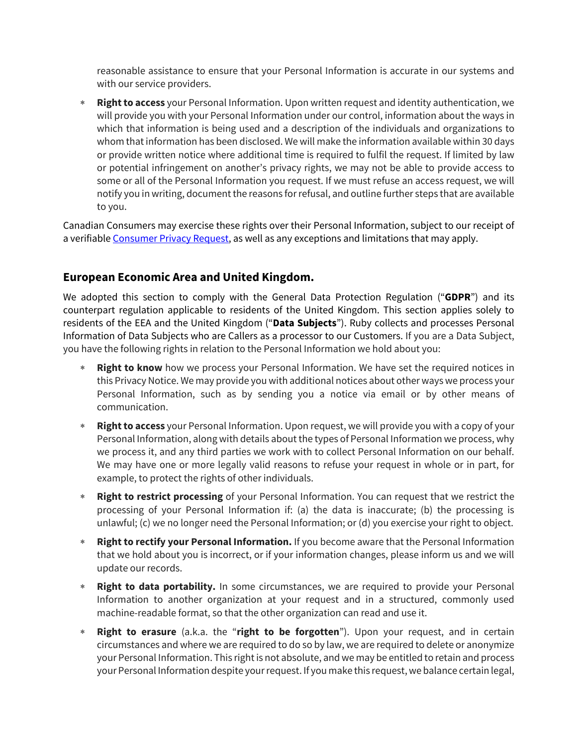reasonable assistance to ensure that your Personal Information is accurate in our systems and with our service providers.

\* **Right to access** your Personal Information. Upon written request and identity authentication, we will provide you with your Personal Information under our control, information about the ways in which that information is being used and a description of the individuals and organizations to whom that information has been disclosed. We will make the information available within 30 days or provide written notice where additional time is required to fulfil the request. If limited by law or potential infringement on another's privacy rights, we may not be able to provide access to some or all of the Personal Information you request. If we must refuse an access request, we will notify you in writing, document the reasons for refusal, and outline further steps that are available to you.

Canadian Consumers may exercise these rights over their Personal Information, subject to our receipt of a verifiable Consumer Privacy Request, as well as any exceptions and limitations that may apply.

### **European Economic Area and United Kingdom.**

We adopted this section to comply with the General Data Protection Regulation ("**GDPR**") and its counterpart regulation applicable to residents of the United Kingdom. This section applies solely to residents of the EEA and the United Kingdom ("**Data Subjects**"). Ruby collects and processes Personal Information of Data Subjects who are Callers as a processor to our Customers. If you are a Data Subject, you have the following rights in relation to the Personal Information we hold about you:

- **Right to know** how we process your Personal Information. We have set the required notices in this Privacy Notice. We may provide you with additional notices about other ways we process your Personal Information, such as by sending you a notice via email or by other means of communication.
- \* **Right to access** your Personal Information. Upon request, we will provide you with a copy of your Personal Information, along with details about the types of Personal Information we process, why we process it, and any third parties we work with to collect Personal Information on our behalf. We may have one or more legally valid reasons to refuse your request in whole or in part, for example, to protect the rights of other individuals.
- \* **Right to restrict processing** of your Personal Information. You can request that we restrict the processing of your Personal Information if: (a) the data is inaccurate; (b) the processing is unlawful; (c) we no longer need the Personal Information; or (d) you exercise your right to object.
- \* **Right to rectify your Personal Information.** If you become aware that the Personal Information that we hold about you is incorrect, or if your information changes, please inform us and we will update our records.
- **Right to data portability.** In some circumstances, we are required to provide your Personal Information to another organization at your request and in a structured, commonly used machine-readable format, so that the other organization can read and use it.
- \* **Right to erasure** (a.k.a. the "**right to be forgotten**"). Upon your request, and in certain circumstances and where we are required to do so by law, we are required to delete or anonymize your Personal Information. This right is not absolute, and we may be entitled to retain and process your Personal Information despite your request. If you make this request, we balance certain legal,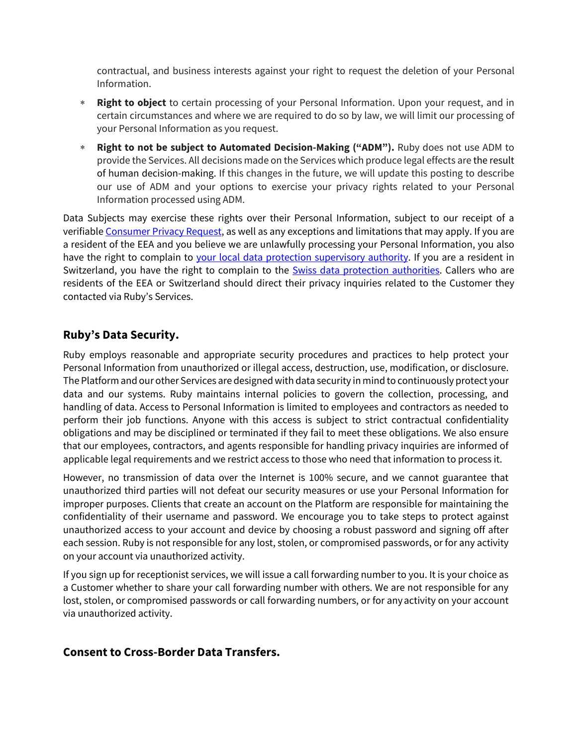contractual, and business interests against your right to request the deletion of your Personal Information.

- \* **Right to object** to certain processing of your Personal Information. Upon your request, and in certain circumstances and where we are required to do so by law, we will limit our processing of your Personal Information as you request.
- \* **Right to not be subject to Automated Decision-Making ("ADM").** Ruby does not use ADM to provide the Services. All decisions made on the Services which produce legal effects are the result of human decision-making. If this changes in the future, we will update this posting to describe our use of ADM and your options to exercise your privacy rights related to your Personal Information processed using ADM.

Data Subjects may exercise these rights over their Personal Information, subject to our receipt of a verifiable Consumer Privacy Request, as well as any exceptions and limitations that may apply. If you are a resident of the EEA and you believe we are unlawfully processing your Personal Information, you also have the right to complain to your local data protection supervisory authority. If you are a resident in Switzerland, you have the right to complain to the Swiss data protection authorities. Callers who are residents of the EEA or Switzerland should direct their privacy inquiries related to the Customer they contacted via Ruby's Services.

#### **Ruby's Data Security.**

Ruby employs reasonable and appropriate security procedures and practices to help protect your Personal Information from unauthorized or illegal access, destruction, use, modification, or disclosure. The Platform and our other Services are designed with data security in mind to continuously protect your data and our systems. Ruby maintains internal policies to govern the collection, processing, and handling of data. Access to Personal Information is limited to employees and contractors as needed to perform their job functions. Anyone with this access is subject to strict contractual confidentiality obligations and may be disciplined or terminated if they fail to meet these obligations. We also ensure that our employees, contractors, and agents responsible for handling privacy inquiries are informed of applicable legal requirements and we restrict access to those who need that information to process it.

However, no transmission of data over the Internet is 100% secure, and we cannot guarantee that unauthorized third parties will not defeat our security measures or use your Personal Information for improper purposes. Clients that create an account on the Platform are responsible for maintaining the confidentiality of their username and password. We encourage you to take steps to protect against unauthorized access to your account and device by choosing a robust password and signing off after each session. Ruby is not responsible for any lost, stolen, or compromised passwords, or for any activity on your account via unauthorized activity.

If you sign up for receptionist services, we will issue a call forwarding number to you. It is your choice as a Customer whether to share your call forwarding number with others. We are not responsible for any lost, stolen, or compromised passwords or call forwarding numbers, or for anyactivity on your account via unauthorized activity.

#### **Consent to Cross-Border Data Transfers.**